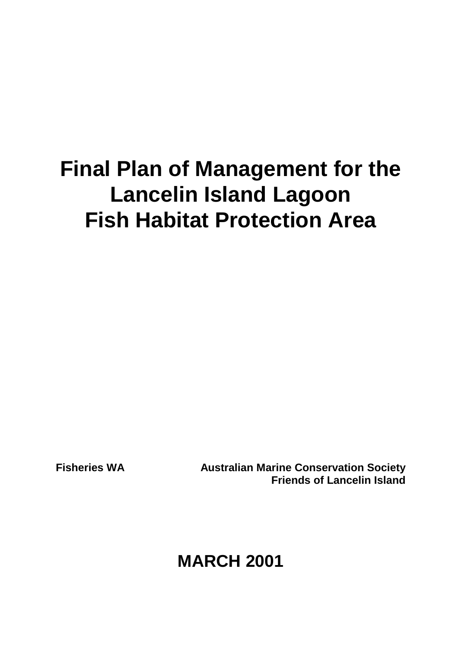# **Final Plan of Management for the Lancelin Island Lagoon Fish Habitat Protection Area**

**Fisheries WA Australian Marine Conservation Society Friends of Lancelin Island**

**MARCH 2001**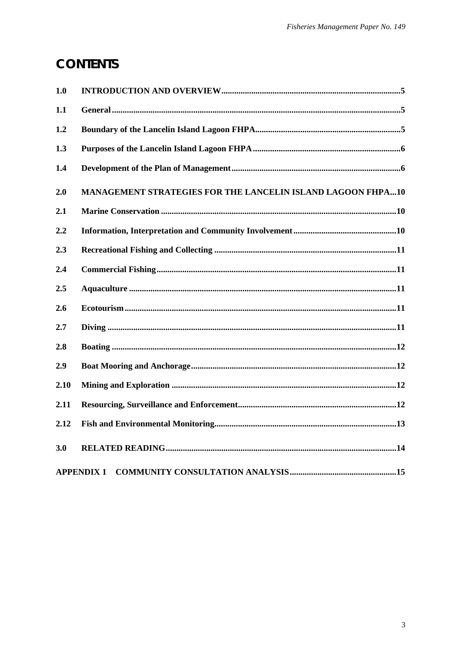# **CONTENTS**

| 1.0  |                                                                    |
|------|--------------------------------------------------------------------|
| 1.1  |                                                                    |
| 1.2  |                                                                    |
| 1.3  |                                                                    |
| 1.4  |                                                                    |
| 2.0  | <b>MANAGEMENT STRATEGIES FOR THE LANCELIN ISLAND LAGOON FHPA10</b> |
| 2.1  |                                                                    |
| 2.2  |                                                                    |
| 2.3  |                                                                    |
| 2.4  |                                                                    |
| 2.5  |                                                                    |
| 2.6  |                                                                    |
| 2.7  |                                                                    |
| 2.8  |                                                                    |
| 2.9  |                                                                    |
| 2.10 |                                                                    |
| 2.11 |                                                                    |
| 2.12 |                                                                    |
| 3.0  |                                                                    |
|      | <b>APPENDIX 1</b>                                                  |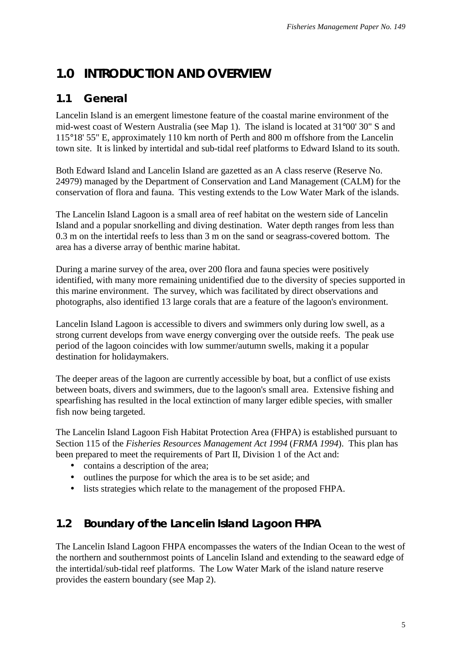## <span id="page-5-0"></span>**1.0 INTRODUCTION AND OVERVIEW**

#### **1.1 General**

Lancelin Island is an emergent limestone feature of the coastal marine environment of the mid-west coast of Western Australia (see Map 1). The island is located at 31°00' 30" S and 115°18' 55" E, approximately 110 km north of Perth and 800 m offshore from the Lancelin town site. It is linked by intertidal and sub-tidal reef platforms to Edward Island to its south.

Both Edward Island and Lancelin Island are gazetted as an A class reserve (Reserve No. 24979) managed by the Department of Conservation and Land Management (CALM) for the conservation of flora and fauna. This vesting extends to the Low Water Mark of the islands.

The Lancelin Island Lagoon is a small area of reef habitat on the western side of Lancelin Island and a popular snorkelling and diving destination. Water depth ranges from less than 0.3 m on the intertidal reefs to less than 3 m on the sand or seagrass-covered bottom. The area has a diverse array of benthic marine habitat.

During a marine survey of the area, over 200 flora and fauna species were positively identified, with many more remaining unidentified due to the diversity of species supported in this marine environment. The survey, which was facilitated by direct observations and photographs, also identified 13 large corals that are a feature of the lagoon's environment.

Lancelin Island Lagoon is accessible to divers and swimmers only during low swell, as a strong current develops from wave energy converging over the outside reefs. The peak use period of the lagoon coincides with low summer/autumn swells, making it a popular destination for holidaymakers.

The deeper areas of the lagoon are currently accessible by boat, but a conflict of use exists between boats, divers and swimmers, due to the lagoon's small area. Extensive fishing and spearfishing has resulted in the local extinction of many larger edible species, with smaller fish now being targeted.

The Lancelin Island Lagoon Fish Habitat Protection Area (FHPA) is established pursuant to Section 115 of the *Fisheries Resources Management Act 1994* (*FRMA 1994*). This plan has been prepared to meet the requirements of Part II, Division 1 of the Act and:

- contains a description of the area;
- outlines the purpose for which the area is to be set aside; and
- lists strategies which relate to the management of the proposed FHPA.

#### **1.2 Boundary of the Lancelin Island Lagoon FHPA**

The Lancelin Island Lagoon FHPA encompasses the waters of the Indian Ocean to the west of the northern and southernmost points of Lancelin Island and extending to the seaward edge of the intertidal/sub-tidal reef platforms. The Low Water Mark of the island nature reserve provides the eastern boundary (see Map 2).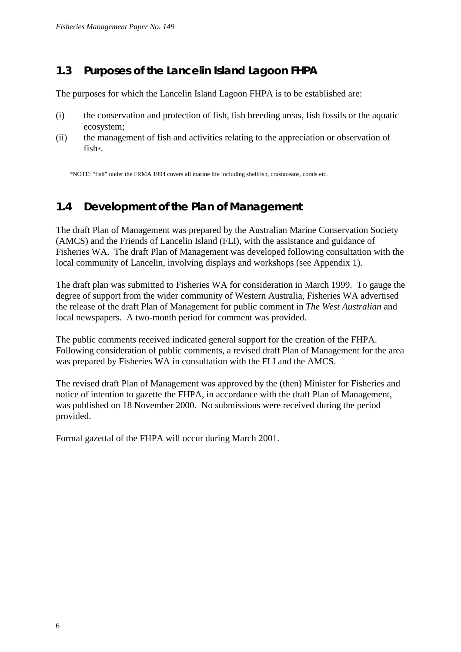#### <span id="page-6-0"></span>**1.3 Purposes of the Lancelin Island Lagoon FHPA**

The purposes for which the Lancelin Island Lagoon FHPA is to be established are:

- (i) the conservation and protection of fish, fish breeding areas, fish fossils or the aquatic ecosystem;
- (ii) the management of fish and activities relating to the appreciation or observation of fish\*.

\*NOTE: "fish" under the FRMA 1994 covers all marine life including shellfish, crustaceans, corals etc.

## **1.4 Development of the Plan of Management**

The draft Plan of Management was prepared by the Australian Marine Conservation Society (AMCS) and the Friends of Lancelin Island (FLI), with the assistance and guidance of Fisheries WA. The draft Plan of Management was developed following consultation with the local community of Lancelin, involving displays and workshops (see Appendix 1).

The draft plan was submitted to Fisheries WA for consideration in March 1999. To gauge the degree of support from the wider community of Western Australia, Fisheries WA advertised the release of the draft Plan of Management for public comment in *The West Australian* and local newspapers. A two-month period for comment was provided.

The public comments received indicated general support for the creation of the FHPA. Following consideration of public comments, a revised draft Plan of Management for the area was prepared by Fisheries WA in consultation with the FLI and the AMCS.

The revised draft Plan of Management was approved by the (then) Minister for Fisheries and notice of intention to gazette the FHPA, in accordance with the draft Plan of Management, was published on 18 November 2000. No submissions were received during the period provided.

Formal gazettal of the FHPA will occur during March 2001.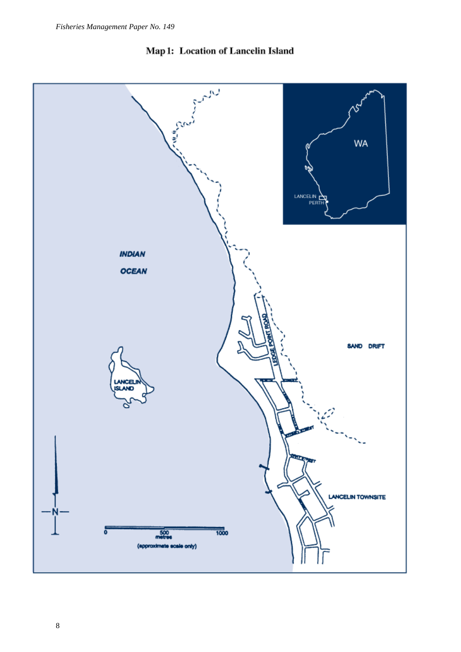

Map 1: Location of Lancelin Island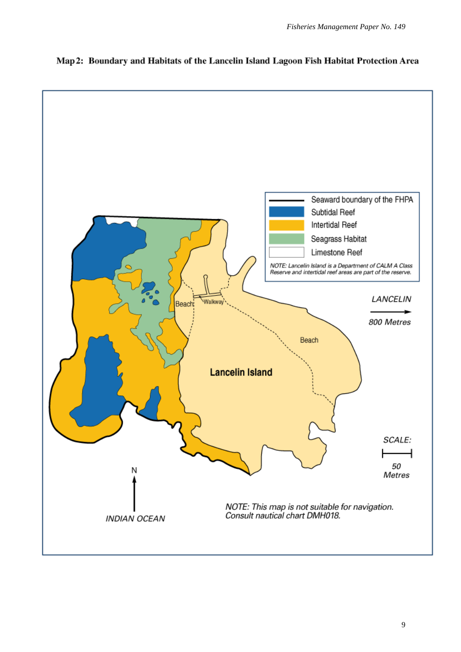

Map 2: Boundary and Habitats of the Lancelin Island Lagoon Fish Habitat Protection Area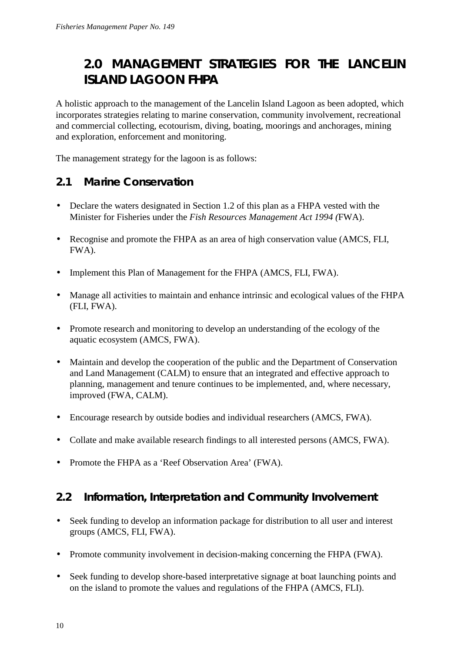# <span id="page-10-0"></span>**2.0 MANAGEMENT STRATEGIES FOR THE LANCELIN ISLAND LAGOON FHPA**

A holistic approach to the management of the Lancelin Island Lagoon as been adopted, which incorporates strategies relating to marine conservation, community involvement, recreational and commercial collecting, ecotourism, diving, boating, moorings and anchorages, mining and exploration, enforcement and monitoring.

The management strategy for the lagoon is as follows:

## **2.1 Marine Conservation**

- Declare the waters designated in Section 1.2 of this plan as a FHPA vested with the Minister for Fisheries under the *Fish Resources Management Act 1994 (*FWA).
- Recognise and promote the FHPA as an area of high conservation value (AMCS, FLI, FWA).
- Implement this Plan of Management for the FHPA (AMCS, FLI, FWA).
- Manage all activities to maintain and enhance intrinsic and ecological values of the FHPA (FLI, FWA).
- Promote research and monitoring to develop an understanding of the ecology of the aquatic ecosystem (AMCS, FWA).
- Maintain and develop the cooperation of the public and the Department of Conservation and Land Management (CALM) to ensure that an integrated and effective approach to planning, management and tenure continues to be implemented, and, where necessary, improved (FWA, CALM).
- Encourage research by outside bodies and individual researchers (AMCS, FWA).
- Collate and make available research findings to all interested persons (AMCS, FWA).
- Promote the FHPA as a 'Reef Observation Area' (FWA).

#### **2.2 Information, Interpretation and Community Involvement**

- Seek funding to develop an information package for distribution to all user and interest groups (AMCS, FLI, FWA).
- Promote community involvement in decision-making concerning the FHPA (FWA).
- Seek funding to develop shore-based interpretative signage at boat launching points and on the island to promote the values and regulations of the FHPA (AMCS, FLI).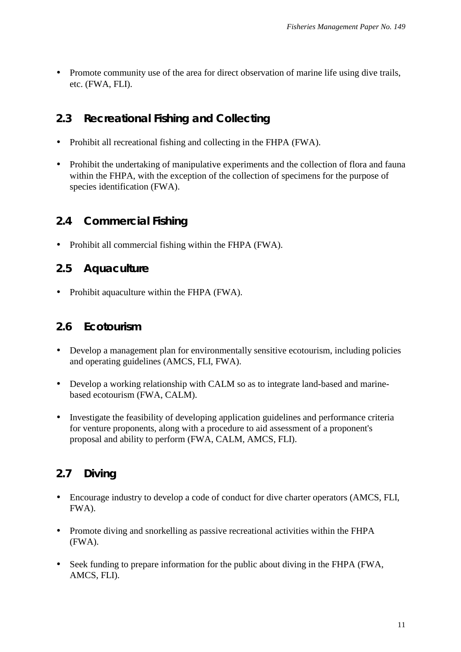<span id="page-11-0"></span>• Promote community use of the area for direct observation of marine life using dive trails, etc. (FWA, FLI).

#### **2.3 Recreational Fishing and Collecting**

- Prohibit all recreational fishing and collecting in the FHPA (FWA).
- Prohibit the undertaking of manipulative experiments and the collection of flora and fauna within the FHPA, with the exception of the collection of specimens for the purpose of species identification (FWA).

## **2.4 Commercial Fishing**

• Prohibit all commercial fishing within the FHPA (FWA).

#### **2.5 Aquaculture**

• Prohibit aquaculture within the FHPA (FWA).

#### **2.6 Ecotourism**

- Develop a management plan for environmentally sensitive ecotourism, including policies and operating guidelines (AMCS, FLI, FWA).
- Develop a working relationship with CALM so as to integrate land-based and marinebased ecotourism (FWA, CALM).
- Investigate the feasibility of developing application guidelines and performance criteria for venture proponents, along with a procedure to aid assessment of a proponent's proposal and ability to perform (FWA, CALM, AMCS, FLI).

## **2.7 Diving**

- Encourage industry to develop a code of conduct for dive charter operators (AMCS, FLI, FWA).
- Promote diving and snorkelling as passive recreational activities within the FHPA (FWA).
- Seek funding to prepare information for the public about diving in the FHPA (FWA, AMCS, FLI).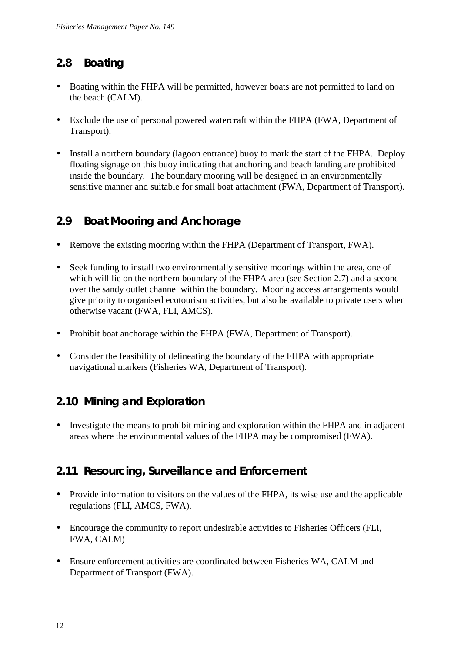#### <span id="page-12-0"></span>**2.8 Boating**

- Boating within the FHPA will be permitted, however boats are not permitted to land on the beach (CALM).
- Exclude the use of personal powered watercraft within the FHPA (FWA, Department of Transport).
- Install a northern boundary (lagoon entrance) buoy to mark the start of the FHPA. Deploy floating signage on this buoy indicating that anchoring and beach landing are prohibited inside the boundary. The boundary mooring will be designed in an environmentally sensitive manner and suitable for small boat attachment (FWA, Department of Transport).

## **2.9 Boat Mooring and Anchorage**

- Remove the existing mooring within the FHPA (Department of Transport, FWA).
- Seek funding to install two environmentally sensitive moorings within the area, one of which will lie on the northern boundary of the FHPA area (see Section 2.7) and a second over the sandy outlet channel within the boundary. Mooring access arrangements would give priority to organised ecotourism activities, but also be available to private users when otherwise vacant (FWA, FLI, AMCS).
- Prohibit boat anchorage within the FHPA (FWA, Department of Transport).
- Consider the feasibility of delineating the boundary of the FHPA with appropriate navigational markers (Fisheries WA, Department of Transport).

## **2.10 Mining and Exploration**

• Investigate the means to prohibit mining and exploration within the FHPA and in adjacent areas where the environmental values of the FHPA may be compromised (FWA).

#### **2.11 Resourcing, Surveillance and Enforcement**

- Provide information to visitors on the values of the FHPA, its wise use and the applicable regulations (FLI, AMCS, FWA).
- Encourage the community to report undesirable activities to Fisheries Officers (FLI, FWA, CALM)
- Ensure enforcement activities are coordinated between Fisheries WA, CALM and Department of Transport (FWA).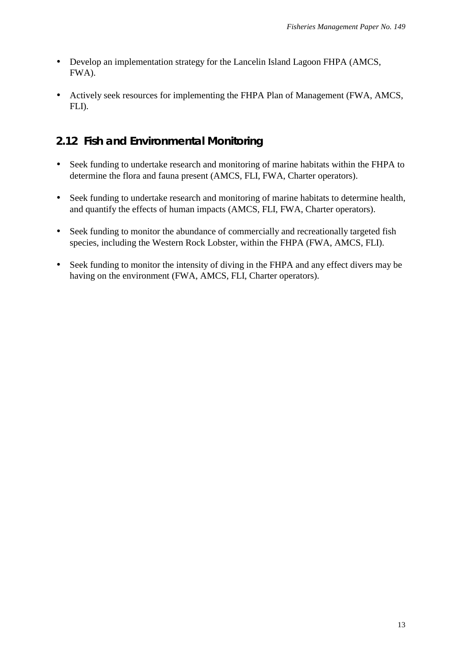- <span id="page-13-0"></span>• Develop an implementation strategy for the Lancelin Island Lagoon FHPA (AMCS, FWA).
- Actively seek resources for implementing the FHPA Plan of Management (FWA, AMCS, FLI).

#### **2.12 Fish and Environmental Monitoring**

- Seek funding to undertake research and monitoring of marine habitats within the FHPA to determine the flora and fauna present (AMCS, FLI, FWA, Charter operators).
- Seek funding to undertake research and monitoring of marine habitats to determine health, and quantify the effects of human impacts (AMCS, FLI, FWA, Charter operators).
- Seek funding to monitor the abundance of commercially and recreationally targeted fish species, including the Western Rock Lobster, within the FHPA (FWA, AMCS, FLI).
- Seek funding to monitor the intensity of diving in the FHPA and any effect divers may be having on the environment (FWA, AMCS, FLI, Charter operators).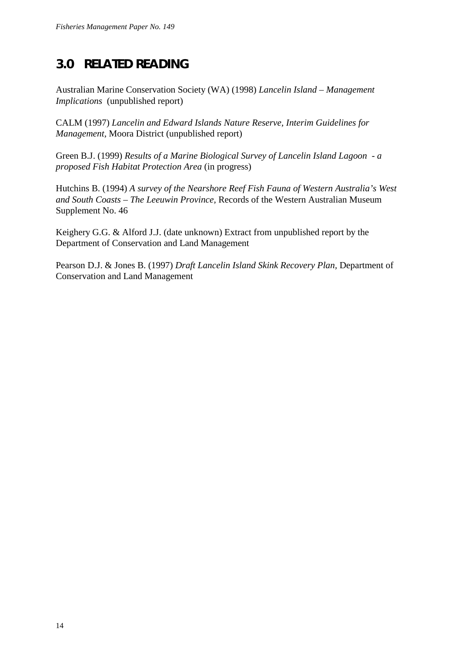# <span id="page-14-0"></span>**3.0 RELATED READING**

Australian Marine Conservation Society (WA) (1998) *Lancelin Island – Management Implications* (unpublished report)

CALM (1997) *Lancelin and Edward Islands Nature Reserve, Interim Guidelines for Management,* Moora District (unpublished report)

Green B.J. (1999) *Results of a Marine Biological Survey of Lancelin Island Lagoon - a proposed Fish Habitat Protection Area* (in progress)

Hutchins B. (1994) *A survey of the Nearshore Reef Fish Fauna of Western Australia's West and South Coasts – The Leeuwin Province,* Records of the Western Australian Museum Supplement No. 46

Keighery G.G. & Alford J.J. (date unknown) Extract from unpublished report by the Department of Conservation and Land Management

Pearson D.J. & Jones B. (1997) *Draft Lancelin Island Skink Recovery Plan,* Department of Conservation and Land Management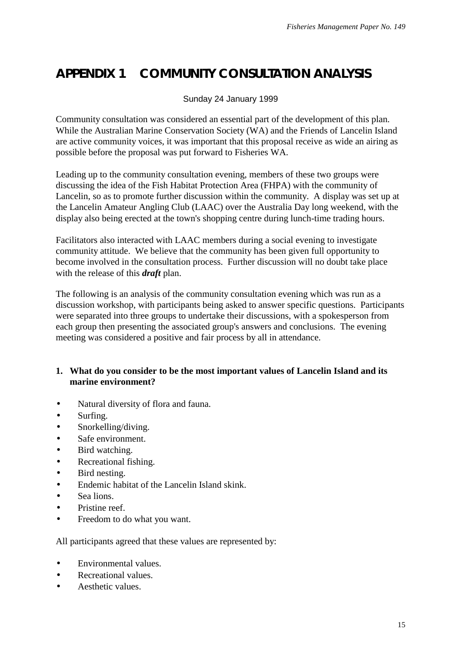# <span id="page-15-0"></span>**APPENDIX 1 COMMUNITY CONSULTATION ANALYSIS**

#### Sunday 24 January 1999

Community consultation was considered an essential part of the development of this plan. While the Australian Marine Conservation Society (WA) and the Friends of Lancelin Island are active community voices, it was important that this proposal receive as wide an airing as possible before the proposal was put forward to Fisheries WA.

Leading up to the community consultation evening, members of these two groups were discussing the idea of the Fish Habitat Protection Area (FHPA) with the community of Lancelin, so as to promote further discussion within the community. A display was set up at the Lancelin Amateur Angling Club (LAAC) over the Australia Day long weekend, with the display also being erected at the town's shopping centre during lunch-time trading hours.

Facilitators also interacted with LAAC members during a social evening to investigate community attitude. We believe that the community has been given full opportunity to become involved in the consultation process. Further discussion will no doubt take place with the release of this *draft* plan.

The following is an analysis of the community consultation evening which was run as a discussion workshop, with participants being asked to answer specific questions. Participants were separated into three groups to undertake their discussions, with a spokesperson from each group then presenting the associated group's answers and conclusions. The evening meeting was considered a positive and fair process by all in attendance.

#### **1. What do you consider to be the most important values of Lancelin Island and its marine environment?**

- Natural diversity of flora and fauna.
- Surfing.
- Snorkelling/diving.
- Safe environment.
- Bird watching.
- Recreational fishing.
- Bird nesting.
- Endemic habitat of the Lancelin Island skink.
- Sea lions.
- Pristine reef.
- Freedom to do what you want.

All participants agreed that these values are represented by:

- Environmental values.
- Recreational values.
- Aesthetic values.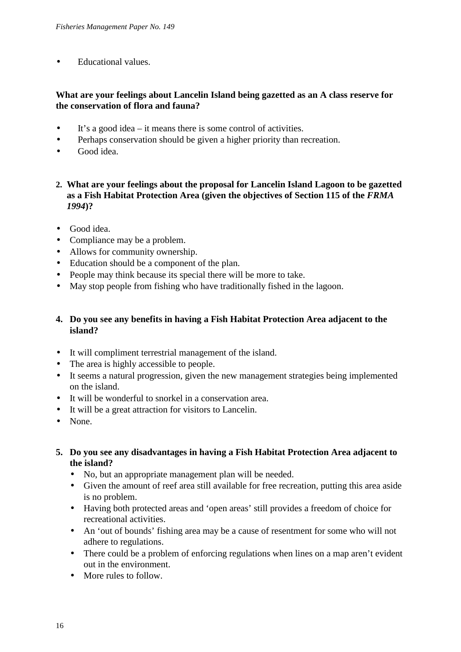• Educational values.

#### **What are your feelings about Lancelin Island being gazetted as an A class reserve for the conservation of flora and fauna?**

- It's a good idea it means there is some control of activities.
- Perhaps conservation should be given a higher priority than recreation.
- Good idea.
- **2. What are your feelings about the proposal for Lancelin Island Lagoon to be gazetted as a Fish Habitat Protection Area (given the objectives of Section 115 of the** *FRMA 1994***)?**
- Good idea.
- Compliance may be a problem.
- Allows for community ownership.
- Education should be a component of the plan.
- People may think because its special there will be more to take.
- May stop people from fishing who have traditionally fished in the lagoon.

#### **4. Do you see any benefits in having a Fish Habitat Protection Area adjacent to the island?**

- It will compliment terrestrial management of the island.
- The area is highly accessible to people.
- It seems a natural progression, given the new management strategies being implemented on the island.
- It will be wonderful to snorkel in a conservation area.
- It will be a great attraction for visitors to Lancelin.
- None.
- **5. Do you see any disadvantages in having a Fish Habitat Protection Area adjacent to the island?**
	- No, but an appropriate management plan will be needed.
	- Given the amount of reef area still available for free recreation, putting this area aside is no problem.
	- Having both protected areas and 'open areas' still provides a freedom of choice for recreational activities.
	- An 'out of bounds' fishing area may be a cause of resentment for some who will not adhere to regulations.
	- There could be a problem of enforcing regulations when lines on a map aren't evident out in the environment.
	- More rules to follow.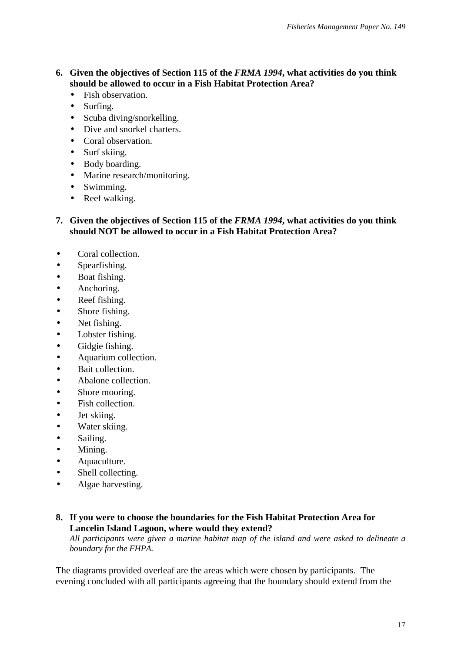#### **6. Given the objectives of Section 115 of the** *FRMA 1994***, what activities do you think should be allowed to occur in a Fish Habitat Protection Area?**

- Fish observation.
- Surfing.
- Scuba diving/snorkelling.
- Dive and snorkel charters.
- Coral observation.
- Surf skiing.
- Body boarding.
- Marine research/monitoring.
- Swimming.
- Reef walking.

#### **7. Given the objectives of Section 115 of the** *FRMA 1994***, what activities do you think should NOT be allowed to occur in a Fish Habitat Protection Area?**

- Coral collection.
- Spearfishing.
- Boat fishing.
- Anchoring.
- Reef fishing.
- Shore fishing.
- Net fishing.
- Lobster fishing.
- Gidgie fishing.
- Aquarium collection.
- Bait collection.
- Abalone collection.
- Shore mooring.
- Fish collection.
- Jet skiing.
- Water skiing.
- Sailing.
- Mining.
- Aquaculture.
- Shell collecting.
- Algae harvesting.

#### **8. If you were to choose the boundaries for the Fish Habitat Protection Area for Lancelin Island Lagoon, where would they extend?**

*All participants were given a marine habitat map of the island and were asked to delineate a boundary for the FHPA.*

The diagrams provided overleaf are the areas which were chosen by participants. The evening concluded with all participants agreeing that the boundary should extend from the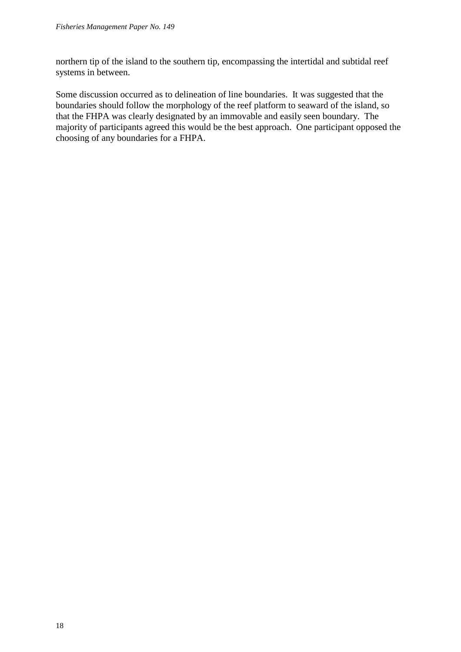northern tip of the island to the southern tip, encompassing the intertidal and subtidal reef systems in between.

Some discussion occurred as to delineation of line boundaries. It was suggested that the boundaries should follow the morphology of the reef platform to seaward of the island, so that the FHPA was clearly designated by an immovable and easily seen boundary. The majority of participants agreed this would be the best approach. One participant opposed the choosing of any boundaries for a FHPA.